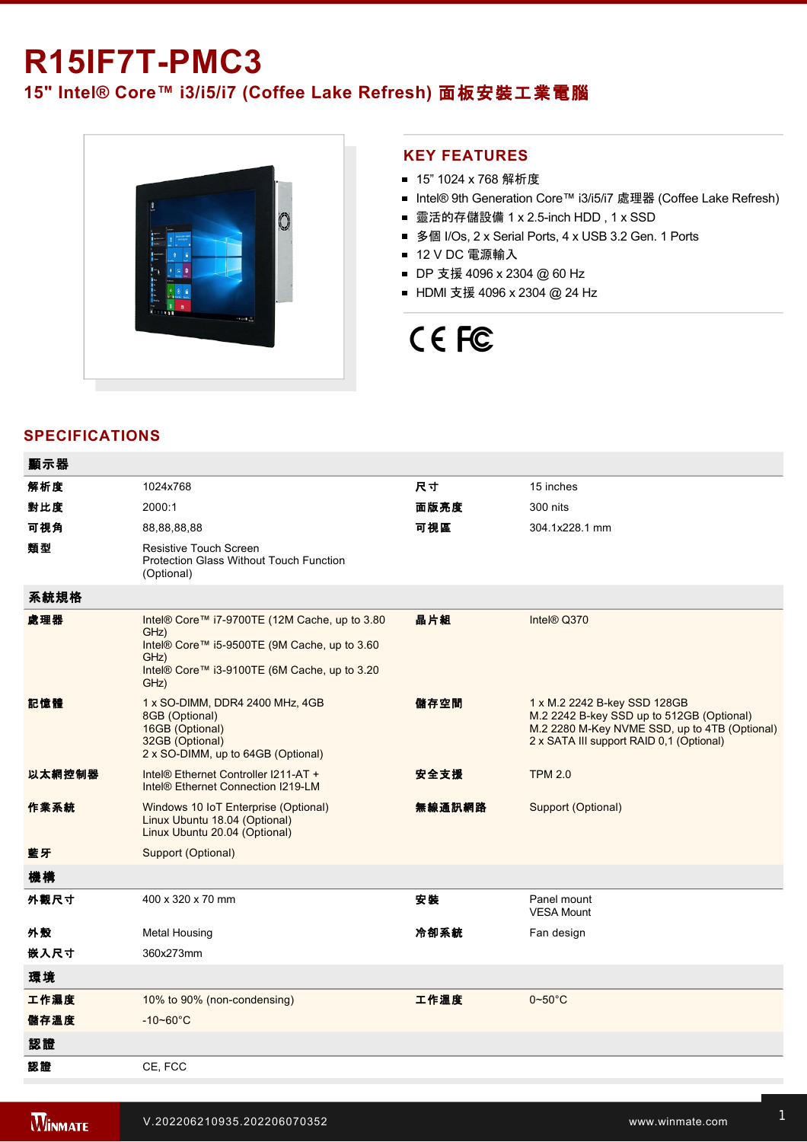# **R15IF7T-PMC3**

## **15" Intel® Core™ i3/i5/i7 (Coffee Lake Refresh)** 面板安裝工業電腦



### **KEY FEATURES**

- 15" 1024 x 768 解析度
- Intel® 9th Generation Core™ i3/i5/i7 處理器 (Coffee Lake Refresh)
- 靈活的存儲設備 1 x 2.5-inch HDD, 1 x SSD
- 多個 I/Os, 2 x Serial Ports, 4 x USB 3.2 Gen. 1 Ports
- 12 V DC 電源輸入
- DP 支援 4096 x 2304 @ 60 Hz
- HDMI 支援 4096 x 2304 @ 24 Hz

# CE FC

### **SPECIFICATIONS**

| 顯示器    |                                                                                                                                                                       |        |                                                                                                                                                                        |
|--------|-----------------------------------------------------------------------------------------------------------------------------------------------------------------------|--------|------------------------------------------------------------------------------------------------------------------------------------------------------------------------|
| 解析度    | 1024x768                                                                                                                                                              | 尺寸     | 15 inches                                                                                                                                                              |
| 對比度    | 2000:1                                                                                                                                                                | 面版亮度   | 300 nits                                                                                                                                                               |
| 可視角    | 88,88,88,88                                                                                                                                                           | 可視區    | 304.1x228.1 mm                                                                                                                                                         |
| 類型     | <b>Resistive Touch Screen</b><br>Protection Glass Without Touch Function<br>(Optional)                                                                                |        |                                                                                                                                                                        |
| 系統規格   |                                                                                                                                                                       |        |                                                                                                                                                                        |
| 處理器    | Intel® Core™ i7-9700TE (12M Cache, up to 3.80<br>GHz)<br>Intel® Core™ i5-9500TE (9M Cache, up to 3.60<br>GHz)<br>Intel® Core™ i3-9100TE (6M Cache, up to 3.20<br>GHz) | 晶片組    | Intel® Q370                                                                                                                                                            |
| 記憶體    | 1 x SO-DIMM, DDR4 2400 MHz, 4GB<br>8GB (Optional)<br>16GB (Optional)<br>32GB (Optional)<br>2 x SO-DIMM, up to 64GB (Optional)                                         | 儲存空間   | 1 x M.2 2242 B-key SSD 128GB<br>M.2 2242 B-key SSD up to 512GB (Optional)<br>M.2 2280 M-Key NVME SSD, up to 4TB (Optional)<br>2 x SATA III support RAID 0.1 (Optional) |
| 以太網控制器 | Intel® Ethernet Controller I211-AT +<br>Intel <sup>®</sup> Ethernet Connection I219-LM                                                                                | 安全支援   | <b>TPM 2.0</b>                                                                                                                                                         |
| 作業系統   | Windows 10 IoT Enterprise (Optional)<br>Linux Ubuntu 18.04 (Optional)<br>Linux Ubuntu 20.04 (Optional)                                                                | 無線通訊網路 | Support (Optional)                                                                                                                                                     |
| 藍牙     | Support (Optional)                                                                                                                                                    |        |                                                                                                                                                                        |
| 機構     |                                                                                                                                                                       |        |                                                                                                                                                                        |
| 外觀尺寸   | 400 x 320 x 70 mm                                                                                                                                                     | 安裝     | Panel mount<br><b>VESA Mount</b>                                                                                                                                       |
| 外殼     | Metal Housing                                                                                                                                                         | 冷卻系統   | Fan design                                                                                                                                                             |
| 嵌入尺寸   | 360x273mm                                                                                                                                                             |        |                                                                                                                                                                        |
| 環境     |                                                                                                                                                                       |        |                                                                                                                                                                        |
| 工作濕度   | 10% to 90% (non-condensing)                                                                                                                                           | 工作溫度   | $0 - 50$ °C                                                                                                                                                            |
| 儲存溫度   | $-10 - 60^{\circ}$ C                                                                                                                                                  |        |                                                                                                                                                                        |
| 認證     |                                                                                                                                                                       |        |                                                                                                                                                                        |
| 認證     | CE, FCC                                                                                                                                                               |        |                                                                                                                                                                        |